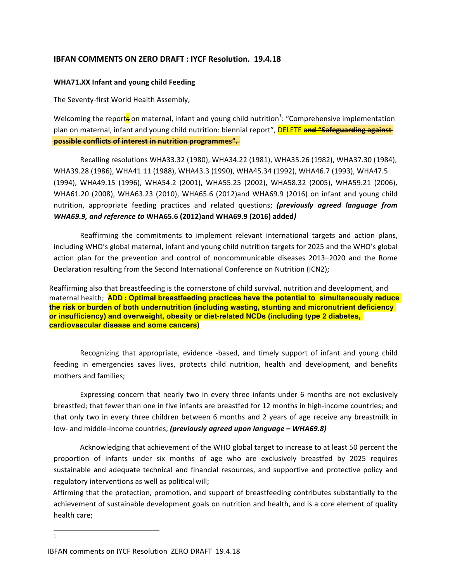## **IBFAN COMMENTS ON ZERO DRAFT : IYCF Resolution. 19.4.18**

## **WHA71.XX Infant and young child Feeding**

The Seventy-first World Health Assembly,

Welcoming the report<mark>s</mark> on maternal, infant and young child nutrition<sup>1</sup>: "Comprehensive implementation plan on maternal, infant and young child nutrition: biennial report", **DELETE** and "Safeguarding against **possible conflicts of interest in nutrition programmes".** 

Recalling resolutions WHA33.32 (1980), WHA34.22 (1981), WHA35.26 (1982), WHA37.30 (1984), WHA39.28 (1986), WHA41.11 (1988), WHA43.3 (1990), WHA45.34 (1992), WHA46.7 (1993), WHA47.5 (1994), WHA49.15 (1996), WHA54.2 (2001), WHA55.25 (2002), WHA58.32 (2005), WHA59.21 (2006), WHA61.20 (2008), WHA63.23 (2010), WHA65.6 (2012)and WHA69.9 (2016) on infant and young child nutrition, appropriate feeding practices and related questions; (previously agreed language from *WHA69.9, and reference to* **WHA65.6 (2012)and WHA69.9 (2016) added***)*

Reaffirming the commitments to implement relevant international targets and action plans, including WHO's global maternal, infant and young child nutrition targets for 2025 and the WHO's global action plan for the prevention and control of noncommunicable diseases 2013−2020 and the Rome Declaration resulting from the Second International Conference on Nutrition (ICN2);

Reaffirming also that breastfeeding is the cornerstone of child survival, nutrition and development, and maternal health; **ADD : Optimal breastfeeding practices have the potential to simultaneously reduce the risk or burden of both undernutrition (including wasting, stunting and micronutrient deficiency or insufficiency) and overweight, obesity or diet-related NCDs (including type 2 diabetes, cardiovascular disease and some cancers)**

Recognizing that appropriate, evidence -based, and timely support of infant and young child feeding in emergencies saves lives, protects child nutrition, health and development, and benefits mothers and families;

Expressing concern that nearly two in every three infants under 6 months are not exclusively breastfed; that fewer than one in five infants are breastfed for 12 months in high-income countries; and that only two in every three children between 6 months and 2 years of age receive any breastmilk in low- and middle-income countries; (previously agreed upon language – WHA69.8)

Acknowledging that achievement of the WHO global target to increase to at least 50 percent the proportion of infants under six months of age who are exclusively breastfed by 2025 requires sustainable and adequate technical and financial resources, and supportive and protective policy and regulatory interventions as well as political will;

Affirming that the protection, promotion, and support of breastfeeding contributes substantially to the achievement of sustainable development goals on nutrition and health, and is a core element of quality health care:

<sup>1</sup> 

IBFAN comments on IYCF Resolution ZERO DRAFT 19.4.18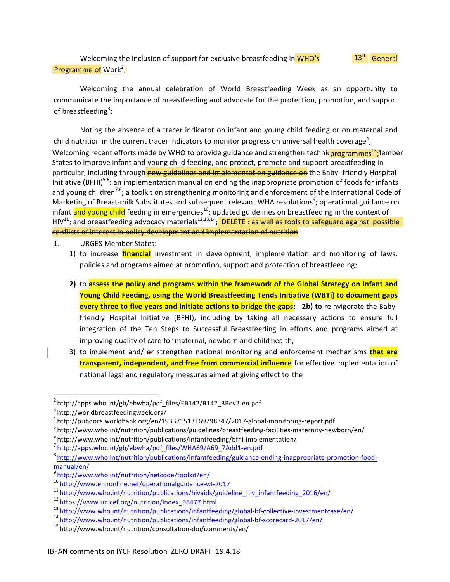Welcoming the inclusion of support for exclusive breastfeeding in WHO's Programme of Work<sup>2</sup>; 13<sup>th</sup> General

Welcoming the annual celebration of World Breastfeeding Week as an opportunity to communicate the importance of breastfeeding and advocate for the protection, promotion, and support of breastfeeding<sup>3</sup>;

Noting the absence of a tracer indicator on infant and young child feeding or on maternal and child nutrition in the current tracer indicators to monitor progress on universal health coverage<sup>4</sup>; Welcoming recent efforts made by WHO to provide guidance and strengthen technic **programmes<sup>15</sup>;** lember States to improve infant and young child feeding, and protect, promote and support breastfeeding in particular, including through new guidelines and implementation guidance on the Baby- friendly Hospital Initiative  $(BFHI)^{5,6}$ ; an implementation manual on ending the inappropriate promotion of foods for infants and young children<sup>7,8</sup>; a toolkit on strengthening monitoring and enforcement of the International Code of Marketing of Breast-milk Substitutes and subsequent relevant WHA resolutions<sup>9</sup>; operational guidance on infant and young child feeding in emergencies<sup>10</sup>; updated guidelines on breastfeeding in the context of  $HIV^{11}$ ; and breastfeeding advocacy materials<sup>12,13,14</sup>; DELETE : as well as tools to safeguard against possible conflicts of interest in policy development and implementation of nutrition

- 1. URGES Member States:
	- 1) to increase **financial** investment in development, implementation and monitoring of laws, policies and programs aimed at promotion, support and protection of breastfeeding;
	- **2)** to **assess the policy and programs within the framework of the Global Strategy on Infant and Young Child Feeding, using the World Breastfeeding Tends Initiative (WBTi) to document gaps every three to five years and initiate actions to bridge the gaps;** 2b) to reinvigorate the Babyfriendly Hospital Initiative (BFHI), including by taking all necessary actions to ensure full integration of the Ten Steps to Successful Breastfeeding in efforts and programs aimed at improving quality of care for maternal, newborn and child health;
	- 3) to implement and/ or strengthen national monitoring and enforcement mechanisms **that are** transparent, independent, and free from commercial influence for effective implementation of national legal and regulatory measures aimed at giving effect to the

 $2$ http://apps.who.int/gb/ebwha/pdf\_files/EB142/B142\_3Rev2-en.pdf

<sup>&</sup>lt;sup>3</sup> http://worldbreastfeedingweek.org/

<sup>&</sup>lt;sup>4</sup> http://pubdocs.worldbank.org/en/193371513169798347/2017-global-monitoring-report.pdf<br>
<sup>5</sup> http://www.who.int/nutrition/publications/guidelines/breastfeeding-facilities-maternity-newborn/en/<br>
<sup>6</sup> http://www.who.int/nut

<sup>&</sup>lt;sup>8</sup>http://www.who.int/nutrition/publications/infantfeeding/guidance-ending-inappropriate-promotion-food-

[manual/en/](http://www.who.int/nutrition/publications/infantfeeding/guidance-ending-inappropriate-promotion-food-manual/en/)<br><sup>9</sup> http://www.who.int/nutrition/netcode/toolkit/en/<br><sup>10</sup> http://www.ennonline.net/operationalguidance-v3-2017

<sup>&</sup>lt;sup>11</sup> http://www.who.int/nutrition/publications/hivaids/guideline\_hiv\_infantfeeding\_2016/en/<br><sup>12</sup> https://www.unicef.org/nutrition/index\_98477.html

<sup>&</sup>lt;sup>13</sup><br>http://www.who.int/nutrition/publications/infantfeeding/global-bf-collective-investmentcase/en/<br><sup>14</sup> http://www.who.int/nutrition/publications/infantfeeding/global-bf-scorecard-2017/en/<br><sup>15</sup> http://www.who.int/nutriti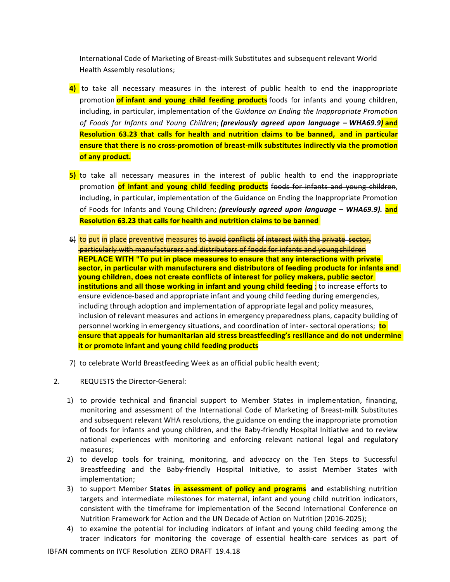International Code of Marketing of Breast-milk Substitutes and subsequent relevant World Health Assembly resolutions;

- **4)** to take all necessary measures in the interest of public health to end the inappropriate promotion **of infant and young child feeding products** foods for infants and young children, including, in particular, implementation of the *Guidance on Ending the Inappropriate Promotion of Foods for Infants and Young Children*; *(previously agreed upon language – WHA69.9)* **and Resolution 63.23 that calls for health and nutrition claims to be banned, and in particular ensure that there is no cross-promotion of breast-milk substitutes indirectly via the promotion of any product.**
- **5)** to take all necessary measures in the interest of public health to end the inappropriate promotion of infant and young child feeding products foods for infants and young children, including, in particular, implementation of the Guidance on Ending the Inappropriate Promotion of Foods for Infants and Young Children; *(previously agreed upon language - WHA69.9).* and **Resolution 63.23 that calls for health and nutrition claims to be banned**
- 6) to put in place preventive measures to avoid conflicts of interest with the private sector, particularly with manufacturers and distributors of foods for infants and young children **REPLACE WITH "To put in place measures to ensure that any interactions with private sector, in particular with manufacturers and distributors of feeding products for infants and young children, does not create conflicts of interest for policy makers, public sector institutions and all those working in infant and young child feeding**; to increase efforts to ensure evidence-based and appropriate infant and young child feeding during emergencies, including through adoption and implementation of appropriate legal and policy measures, inclusion of relevant measures and actions in emergency preparedness plans, capacity building of personnel working in emergency situations, and coordination of inter- sectoral operations; **to ensure that appeals for humanitarian aid stress breastfeeding's resiliance and do not undermine it or promote infant and young child feeding products**
- 7) to celebrate World Breastfeeding Week as an official public health event;
- 2. REQUESTS the Director-General:
	- 1) to provide technical and financial support to Member States in implementation, financing, monitoring and assessment of the International Code of Marketing of Breast-milk Substitutes and subsequent relevant WHA resolutions, the guidance on ending the inappropriate promotion of foods for infants and young children, and the Baby-friendly Hospital Initiative and to review national experiences with monitoring and enforcing relevant national legal and regulatory measures;
	- 2) to develop tools for training, monitoring, and advocacy on the Ten Steps to Successful Breastfeeding and the Baby-friendly Hospital Initiative, to assist Member States with implementation;
	- 3) to support Member **States in assessment of policy and programs** and establishing nutrition targets and intermediate milestones for maternal, infant and young child nutrition indicators, consistent with the timeframe for implementation of the Second International Conference on Nutrition Framework for Action and the UN Decade of Action on Nutrition (2016-2025);
	- 4) to examine the potential for including indicators of infant and young child feeding among the tracer indicators for monitoring the coverage of essential health-care services as part of